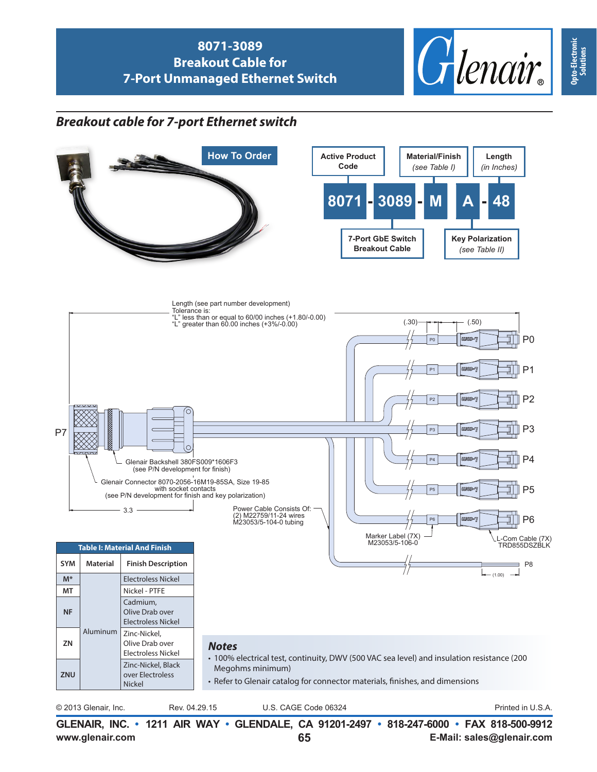

## *Breakout cable for 7-port Ethernet switch*



**www.glenair.com E-Mail: sales@glenair.com**